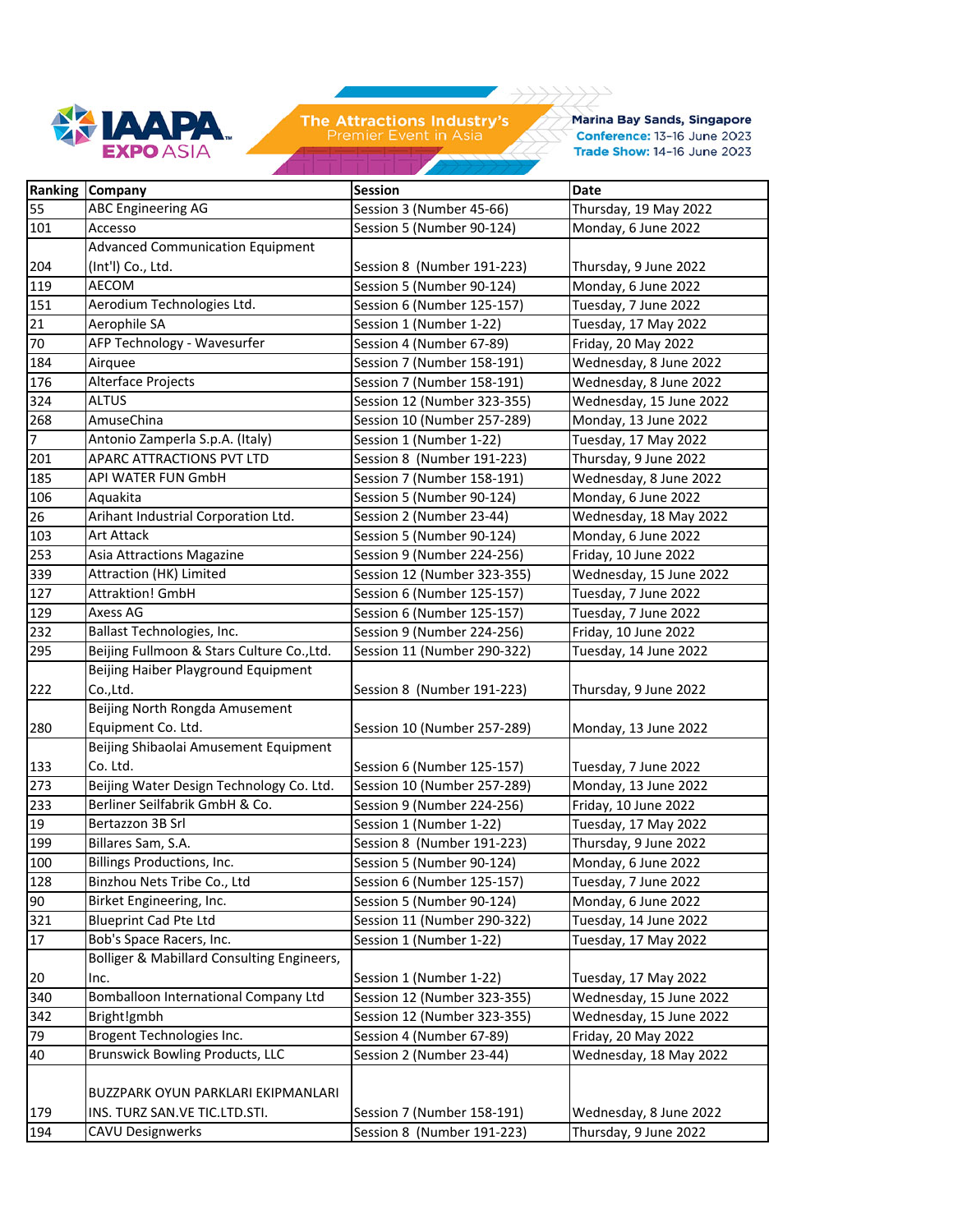

Marina Bay Sands, Singapore Conference: 13-16 June 2023 Trade Show: 14-16 June 2023

|     | Ranking Company                             | <b>Session</b>              | <b>Date</b>             |
|-----|---------------------------------------------|-----------------------------|-------------------------|
| 55  | <b>ABC Engineering AG</b>                   | Session 3 (Number 45-66)    | Thursday, 19 May 2022   |
| 101 | Accesso                                     | Session 5 (Number 90-124)   | Monday, 6 June 2022     |
|     | Advanced Communication Equipment            |                             |                         |
| 204 | (Int'l) Co., Ltd.                           | Session 8 (Number 191-223)  | Thursday, 9 June 2022   |
| 119 | AECOM                                       | Session 5 (Number 90-124)   | Monday, 6 June 2022     |
| 151 | Aerodium Technologies Ltd.                  | Session 6 (Number 125-157)  | Tuesday, 7 June 2022    |
| 21  | Aerophile SA                                | Session 1 (Number 1-22)     | Tuesday, 17 May 2022    |
| 70  | AFP Technology - Wavesurfer                 | Session 4 (Number 67-89)    | Friday, 20 May 2022     |
| 184 | Airquee                                     | Session 7 (Number 158-191)  | Wednesday, 8 June 2022  |
| 176 | Alterface Projects                          | Session 7 (Number 158-191)  | Wednesday, 8 June 2022  |
| 324 | <b>ALTUS</b>                                | Session 12 (Number 323-355) | Wednesday, 15 June 2022 |
| 268 | AmuseChina                                  | Session 10 (Number 257-289) | Monday, 13 June 2022    |
| 7   | Antonio Zamperla S.p.A. (Italy)             | Session 1 (Number 1-22)     | Tuesday, 17 May 2022    |
| 201 | APARC ATTRACTIONS PVT LTD                   | Session 8 (Number 191-223)  | Thursday, 9 June 2022   |
| 185 | API WATER FUN GmbH                          | Session 7 (Number 158-191)  | Wednesday, 8 June 2022  |
| 106 | Aquakita                                    | Session 5 (Number 90-124)   | Monday, 6 June 2022     |
| 26  | Arihant Industrial Corporation Ltd.         | Session 2 (Number 23-44)    | Wednesday, 18 May 2022  |
| 103 | <b>Art Attack</b>                           | Session 5 (Number 90-124)   | Monday, 6 June 2022     |
| 253 | Asia Attractions Magazine                   | Session 9 (Number 224-256)  | Friday, 10 June 2022    |
| 339 | Attraction (HK) Limited                     | Session 12 (Number 323-355) | Wednesday, 15 June 2022 |
| 127 | <b>Attraktion! GmbH</b>                     | Session 6 (Number 125-157)  | Tuesday, 7 June 2022    |
| 129 | Axess AG                                    | Session 6 (Number 125-157)  | Tuesday, 7 June 2022    |
| 232 | Ballast Technologies, Inc.                  | Session 9 (Number 224-256)  | Friday, 10 June 2022    |
| 295 | Beijing Fullmoon & Stars Culture Co., Ltd.  | Session 11 (Number 290-322) | Tuesday, 14 June 2022   |
|     | Beijing Haiber Playground Equipment         |                             |                         |
| 222 | Co.,Ltd.                                    | Session 8 (Number 191-223)  | Thursday, 9 June 2022   |
|     | Beijing North Rongda Amusement              |                             |                         |
| 280 | Equipment Co. Ltd.                          | Session 10 (Number 257-289) | Monday, 13 June 2022    |
|     | Beijing Shibaolai Amusement Equipment       |                             |                         |
| 133 | Co. Ltd.                                    | Session 6 (Number 125-157)  | Tuesday, 7 June 2022    |
| 273 | Beijing Water Design Technology Co. Ltd.    | Session 10 (Number 257-289) | Monday, 13 June 2022    |
| 233 | Berliner Seilfabrik GmbH & Co.              | Session 9 (Number 224-256)  | Friday, 10 June 2022    |
| 19  | Bertazzon 3B Srl                            | Session 1 (Number 1-22)     | Tuesday, 17 May 2022    |
| 199 | Billares Sam, S.A.                          | Session 8 (Number 191-223)  | Thursday, 9 June 2022   |
| 100 | Billings Productions, Inc.                  | Session 5 (Number 90-124)   | Monday, 6 June 2022     |
| 128 | Binzhou Nets Tribe Co., Ltd                 | Session 6 (Number 125-157)  | Tuesday, 7 June 2022    |
| 90  | Birket Engineering, Inc.                    | Session 5 (Number 90-124)   | Monday, 6 June 2022     |
| 321 | <b>Blueprint Cad Pte Ltd</b>                | Session 11 (Number 290-322) | Tuesday, 14 June 2022   |
| 17  | Bob's Space Racers, Inc.                    | Session 1 (Number 1-22)     | Tuesday, 17 May 2022    |
|     | Bolliger & Mabillard Consulting Engineers,  |                             |                         |
| 20  | Inc.                                        | Session 1 (Number 1-22)     | Tuesday, 17 May 2022    |
| 340 | <b>Bomballoon International Company Ltd</b> | Session 12 (Number 323-355) | Wednesday, 15 June 2022 |
| 342 | Bright!gmbh                                 | Session 12 (Number 323-355) | Wednesday, 15 June 2022 |
| 79  | Brogent Technologies Inc.                   | Session 4 (Number 67-89)    | Friday, 20 May 2022     |
| 40  | <b>Brunswick Bowling Products, LLC</b>      | Session 2 (Number 23-44)    | Wednesday, 18 May 2022  |
|     |                                             |                             |                         |
|     | BUZZPARK OYUN PARKLARI EKIPMANLARI          |                             |                         |
| 179 | INS. TURZ SAN.VE TIC.LTD.STI.               | Session 7 (Number 158-191)  | Wednesday, 8 June 2022  |
| 194 | <b>CAVU Designwerks</b>                     | Session 8 (Number 191-223)  | Thursday, 9 June 2022   |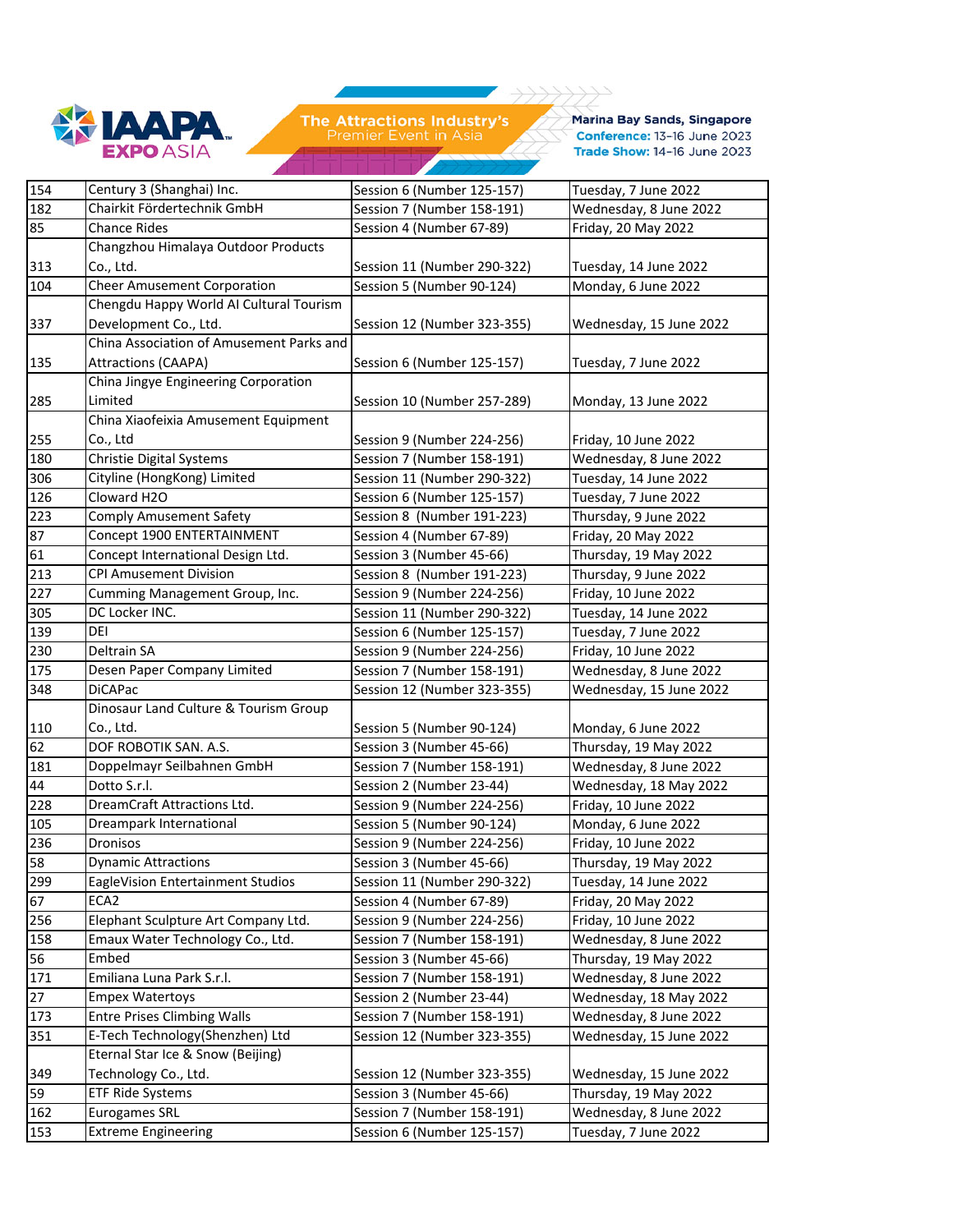

 $1111$ 

 $\rightarrow$ 

**Marina Bay Sands, Singapore** Conference: 13-16 June 2023 Trade Show: 14-16 June 2023

| 154 | Century 3 (Shanghai) Inc.                | Session 6 (Number 125-157)  | Tuesday, 7 June 2022    |
|-----|------------------------------------------|-----------------------------|-------------------------|
| 182 | Chairkit Fördertechnik GmbH              | Session 7 (Number 158-191)  | Wednesday, 8 June 2022  |
| 85  | <b>Chance Rides</b>                      | Session 4 (Number 67-89)    | Friday, 20 May 2022     |
|     | Changzhou Himalaya Outdoor Products      |                             |                         |
| 313 | Co., Ltd.                                | Session 11 (Number 290-322) | Tuesday, 14 June 2022   |
| 104 | <b>Cheer Amusement Corporation</b>       | Session 5 (Number 90-124)   | Monday, 6 June 2022     |
|     | Chengdu Happy World AI Cultural Tourism  |                             |                         |
| 337 | Development Co., Ltd.                    | Session 12 (Number 323-355) | Wednesday, 15 June 2022 |
|     | China Association of Amusement Parks and |                             |                         |
| 135 | <b>Attractions (CAAPA)</b>               | Session 6 (Number 125-157)  | Tuesday, 7 June 2022    |
|     | China Jingye Engineering Corporation     |                             |                         |
| 285 | Limited                                  | Session 10 (Number 257-289) | Monday, 13 June 2022    |
|     | China Xiaofeixia Amusement Equipment     |                             |                         |
| 255 | Co., Ltd                                 | Session 9 (Number 224-256)  | Friday, 10 June 2022    |
| 180 | Christie Digital Systems                 | Session 7 (Number 158-191)  | Wednesday, 8 June 2022  |
| 306 | Cityline (HongKong) Limited              | Session 11 (Number 290-322) | Tuesday, 14 June 2022   |
| 126 | Cloward H2O                              | Session 6 (Number 125-157)  | Tuesday, 7 June 2022    |
| 223 | Comply Amusement Safety                  | Session 8 (Number 191-223)  | Thursday, 9 June 2022   |
| 87  | Concept 1900 ENTERTAINMENT               | Session 4 (Number 67-89)    | Friday, 20 May 2022     |
| 61  | Concept International Design Ltd.        | Session 3 (Number 45-66)    | Thursday, 19 May 2022   |
| 213 | <b>CPI Amusement Division</b>            | Session 8 (Number 191-223)  | Thursday, 9 June 2022   |
| 227 | Cumming Management Group, Inc.           | Session 9 (Number 224-256)  | Friday, 10 June 2022    |
| 305 | DC Locker INC.                           | Session 11 (Number 290-322) | Tuesday, 14 June 2022   |
| 139 | <b>DEI</b>                               | Session 6 (Number 125-157)  | Tuesday, 7 June 2022    |
| 230 | Deltrain SA                              | Session 9 (Number 224-256)  | Friday, 10 June 2022    |
| 175 | Desen Paper Company Limited              | Session 7 (Number 158-191)  | Wednesday, 8 June 2022  |
| 348 | <b>DiCAPac</b>                           | Session 12 (Number 323-355) | Wednesday, 15 June 2022 |
|     | Dinosaur Land Culture & Tourism Group    |                             |                         |
| 110 | Co., Ltd.                                | Session 5 (Number 90-124)   | Monday, 6 June 2022     |
| 62  | DOF ROBOTIK SAN. A.S.                    | Session 3 (Number 45-66)    | Thursday, 19 May 2022   |
| 181 | Doppelmayr Seilbahnen GmbH               | Session 7 (Number 158-191)  | Wednesday, 8 June 2022  |
| 44  | Dotto S.r.l.                             | Session 2 (Number 23-44)    | Wednesday, 18 May 2022  |
| 228 | DreamCraft Attractions Ltd.              | Session 9 (Number 224-256)  | Friday, 10 June 2022    |
| 105 | Dreampark International                  | Session 5 (Number 90-124)   | Monday, 6 June 2022     |
| 236 | Dronisos                                 | Session 9 (Number 224-256)  | Friday, 10 June 2022    |
| 58  | <b>Dynamic Attractions</b>               | Session 3 (Number 45-66)    | Thursday, 19 May 2022   |
| 299 | EagleVision Entertainment Studios        | Session 11 (Number 290-322) | Tuesday, 14 June 2022   |
| 67  | ECA <sub>2</sub>                         | Session 4 (Number 67-89)    | Friday, 20 May 2022     |
| 256 | Elephant Sculpture Art Company Ltd.      | Session 9 (Number 224-256)  | Friday, 10 June 2022    |
| 158 | Emaux Water Technology Co., Ltd.         | Session 7 (Number 158-191)  | Wednesday, 8 June 2022  |
| 56  | Embed                                    | Session 3 (Number 45-66)    | Thursday, 19 May 2022   |
| 171 | Emiliana Luna Park S.r.l.                | Session 7 (Number 158-191)  | Wednesday, 8 June 2022  |
| 27  | <b>Empex Watertoys</b>                   | Session 2 (Number 23-44)    | Wednesday, 18 May 2022  |
| 173 | <b>Entre Prises Climbing Walls</b>       | Session 7 (Number 158-191)  | Wednesday, 8 June 2022  |
| 351 | E-Tech Technology(Shenzhen) Ltd          | Session 12 (Number 323-355) | Wednesday, 15 June 2022 |
|     | Eternal Star Ice & Snow (Beijing)        |                             |                         |
| 349 | Technology Co., Ltd.                     | Session 12 (Number 323-355) | Wednesday, 15 June 2022 |
| 59  | <b>ETF Ride Systems</b>                  | Session 3 (Number 45-66)    | Thursday, 19 May 2022   |
| 162 | <b>Eurogames SRL</b>                     | Session 7 (Number 158-191)  | Wednesday, 8 June 2022  |
| 153 | <b>Extreme Engineering</b>               | Session 6 (Number 125-157)  | Tuesday, 7 June 2022    |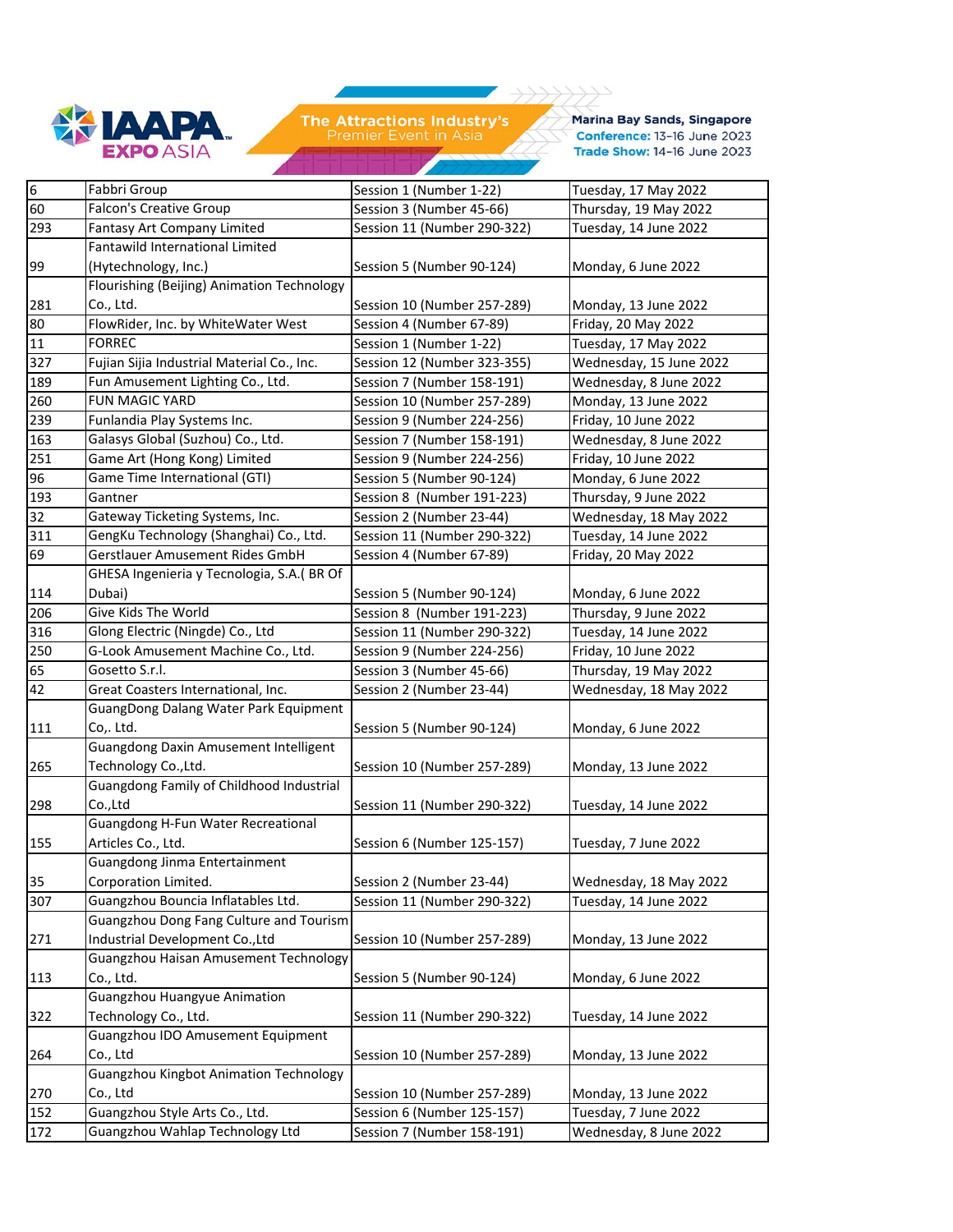

**Marina Bay Sands, Singapore** Conference: 13-16 June 2023 Trade Show: 14-16 June 2023

| 6      | Fabbri Group                                  | Session 1 (Number 1-22)     | Tuesday, 17 May 2022    |
|--------|-----------------------------------------------|-----------------------------|-------------------------|
| 60     | <b>Falcon's Creative Group</b>                | Session 3 (Number 45-66)    | Thursday, 19 May 2022   |
| 293    | Fantasy Art Company Limited                   | Session 11 (Number 290-322) | Tuesday, 14 June 2022   |
|        | Fantawild International Limited               |                             |                         |
| 99     | (Hytechnology, Inc.)                          | Session 5 (Number 90-124)   | Monday, 6 June 2022     |
|        | Flourishing (Beijing) Animation Technology    |                             |                         |
| 281    | Co., Ltd.                                     | Session 10 (Number 257-289) | Monday, 13 June 2022    |
| 80     | FlowRider, Inc. by WhiteWater West            | Session 4 (Number 67-89)    | Friday, 20 May 2022     |
| $11\,$ | <b>FORREC</b>                                 | Session 1 (Number 1-22)     | Tuesday, 17 May 2022    |
| 327    | Fujian Sijia Industrial Material Co., Inc.    | Session 12 (Number 323-355) | Wednesday, 15 June 2022 |
| 189    | Fun Amusement Lighting Co., Ltd.              | Session 7 (Number 158-191)  | Wednesday, 8 June 2022  |
| 260    | FUN MAGIC YARD                                | Session 10 (Number 257-289) | Monday, 13 June 2022    |
| 239    | Funlandia Play Systems Inc.                   | Session 9 (Number 224-256)  | Friday, 10 June 2022    |
| 163    | Galasys Global (Suzhou) Co., Ltd.             | Session 7 (Number 158-191)  | Wednesday, 8 June 2022  |
| 251    | Game Art (Hong Kong) Limited                  | Session 9 (Number 224-256)  | Friday, 10 June 2022    |
| 96     | Game Time International (GTI)                 | Session 5 (Number 90-124)   | Monday, 6 June 2022     |
| 193    | Gantner                                       | Session 8 (Number 191-223)  | Thursday, 9 June 2022   |
| 32     | Gateway Ticketing Systems, Inc.               | Session 2 (Number 23-44)    | Wednesday, 18 May 2022  |
| 311    | GengKu Technology (Shanghai) Co., Ltd.        | Session 11 (Number 290-322) | Tuesday, 14 June 2022   |
| 69     | Gerstlauer Amusement Rides GmbH               | Session 4 (Number 67-89)    | Friday, 20 May 2022     |
|        | GHESA Ingenieria y Tecnologia, S.A. (BR Of    |                             |                         |
| 114    | Dubai)                                        | Session 5 (Number 90-124)   | Monday, 6 June 2022     |
| 206    | Give Kids The World                           | Session 8 (Number 191-223)  | Thursday, 9 June 2022   |
| 316    | Glong Electric (Ningde) Co., Ltd              | Session 11 (Number 290-322) | Tuesday, 14 June 2022   |
| 250    | G-Look Amusement Machine Co., Ltd.            | Session 9 (Number 224-256)  | Friday, 10 June 2022    |
| 65     | Gosetto S.r.l.                                | Session 3 (Number 45-66)    | Thursday, 19 May 2022   |
| 42     | Great Coasters International, Inc.            | Session 2 (Number 23-44)    | Wednesday, 18 May 2022  |
|        | GuangDong Dalang Water Park Equipment         |                             |                         |
| 111    | Co,. Ltd.                                     | Session 5 (Number 90-124)   | Monday, 6 June 2022     |
|        | Guangdong Daxin Amusement Intelligent         |                             |                         |
| 265    | Technology Co., Ltd.                          | Session 10 (Number 257-289) | Monday, 13 June 2022    |
|        | Guangdong Family of Childhood Industrial      |                             |                         |
| 298    | Co.,Ltd                                       | Session 11 (Number 290-322) | Tuesday, 14 June 2022   |
|        | Guangdong H-Fun Water Recreational            |                             |                         |
| 155    | Articles Co., Ltd.                            | Session 6 (Number 125-157)  | Tuesday, 7 June 2022    |
|        | Guangdong Jinma Entertainment                 |                             |                         |
| 35     | Corporation Limited.                          | Session 2 (Number 23-44)    | Wednesday, 18 May 2022  |
| 307    | Guangzhou Bouncia Inflatables Ltd.            | Session 11 (Number 290-322) | Tuesday, 14 June 2022   |
|        | Guangzhou Dong Fang Culture and Tourism       |                             |                         |
| 271    | Industrial Development Co., Ltd               | Session 10 (Number 257-289) | Monday, 13 June 2022    |
|        | Guangzhou Haisan Amusement Technology         |                             |                         |
| 113    | Co., Ltd.                                     | Session 5 (Number 90-124)   | Monday, 6 June 2022     |
|        | <b>Guangzhou Huangyue Animation</b>           |                             |                         |
| 322    | Technology Co., Ltd.                          | Session 11 (Number 290-322) | Tuesday, 14 June 2022   |
|        | Guangzhou IDO Amusement Equipment             |                             |                         |
| 264    | Co., Ltd                                      | Session 10 (Number 257-289) | Monday, 13 June 2022    |
|        | <b>Guangzhou Kingbot Animation Technology</b> |                             |                         |
| 270    | Co., Ltd                                      | Session 10 (Number 257-289) | Monday, 13 June 2022    |
| 152    | Guangzhou Style Arts Co., Ltd.                | Session 6 (Number 125-157)  | Tuesday, 7 June 2022    |
| 172    | Guangzhou Wahlap Technology Ltd               | Session 7 (Number 158-191)  | Wednesday, 8 June 2022  |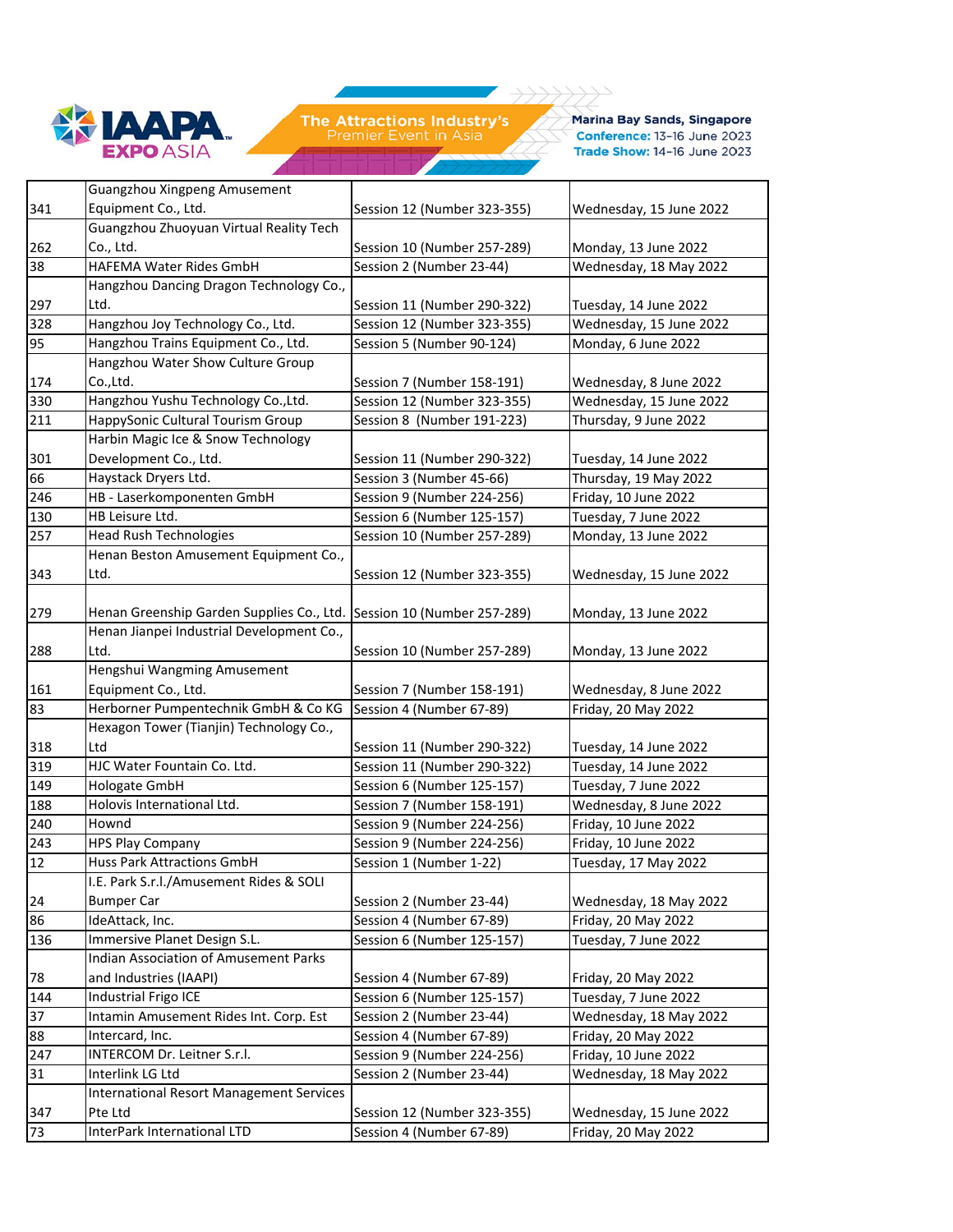

ノノノノ

 $\rightarrow$ 

**Marina Bay Sands, Singapore** Conference: 13-16 June 2023 Trade Show: 14-16 June 2023

|     | Guangzhou Xingpeng Amusement                    |                             |                         |
|-----|-------------------------------------------------|-----------------------------|-------------------------|
| 341 | Equipment Co., Ltd.                             | Session 12 (Number 323-355) | Wednesday, 15 June 2022 |
|     | Guangzhou Zhuoyuan Virtual Reality Tech         |                             |                         |
| 262 | Co., Ltd.                                       | Session 10 (Number 257-289) | Monday, 13 June 2022    |
| 38  | HAFEMA Water Rides GmbH                         | Session 2 (Number 23-44)    | Wednesday, 18 May 2022  |
|     | Hangzhou Dancing Dragon Technology Co.,         |                             |                         |
| 297 | Ltd.                                            | Session 11 (Number 290-322) | Tuesday, 14 June 2022   |
| 328 | Hangzhou Joy Technology Co., Ltd.               | Session 12 (Number 323-355) | Wednesday, 15 June 2022 |
| 95  | Hangzhou Trains Equipment Co., Ltd.             | Session 5 (Number 90-124)   | Monday, 6 June 2022     |
|     | Hangzhou Water Show Culture Group               |                             |                         |
| 174 | Co.,Ltd.                                        | Session 7 (Number 158-191)  | Wednesday, 8 June 2022  |
| 330 | Hangzhou Yushu Technology Co., Ltd.             | Session 12 (Number 323-355) | Wednesday, 15 June 2022 |
| 211 | HappySonic Cultural Tourism Group               | Session 8 (Number 191-223)  | Thursday, 9 June 2022   |
|     | Harbin Magic Ice & Snow Technology              |                             |                         |
| 301 | Development Co., Ltd.                           | Session 11 (Number 290-322) | Tuesday, 14 June 2022   |
| 66  | Haystack Dryers Ltd.                            | Session 3 (Number 45-66)    | Thursday, 19 May 2022   |
| 246 | HB - Laserkomponenten GmbH                      | Session 9 (Number 224-256)  | Friday, 10 June 2022    |
| 130 | HB Leisure Ltd.                                 | Session 6 (Number 125-157)  | Tuesday, 7 June 2022    |
| 257 | <b>Head Rush Technologies</b>                   | Session 10 (Number 257-289) | Monday, 13 June 2022    |
|     | Henan Beston Amusement Equipment Co.,           |                             |                         |
| 343 | Ltd.                                            | Session 12 (Number 323-355) | Wednesday, 15 June 2022 |
|     |                                                 |                             |                         |
| 279 | Henan Greenship Garden Supplies Co., Ltd.       | Session 10 (Number 257-289) | Monday, 13 June 2022    |
|     | Henan Jianpei Industrial Development Co.,       |                             |                         |
| 288 | Ltd.                                            | Session 10 (Number 257-289) | Monday, 13 June 2022    |
|     | Hengshui Wangming Amusement                     |                             |                         |
| 161 | Equipment Co., Ltd.                             | Session 7 (Number 158-191)  | Wednesday, 8 June 2022  |
| 83  | Herborner Pumpentechnik GmbH & Co KG            | Session 4 (Number 67-89)    | Friday, 20 May 2022     |
|     | Hexagon Tower (Tianjin) Technology Co.,         |                             |                         |
| 318 | Ltd                                             | Session 11 (Number 290-322) | Tuesday, 14 June 2022   |
| 319 | HJC Water Fountain Co. Ltd.                     | Session 11 (Number 290-322) | Tuesday, 14 June 2022   |
| 149 | Hologate GmbH                                   | Session 6 (Number 125-157)  | Tuesday, 7 June 2022    |
| 188 | Holovis International Ltd.                      | Session 7 (Number 158-191)  | Wednesday, 8 June 2022  |
| 240 | Hownd                                           | Session 9 (Number 224-256)  | Friday, 10 June 2022    |
| 243 | <b>HPS Play Company</b>                         | Session 9 (Number 224-256)  | Friday, 10 June 2022    |
| 12  | Huss Park Attractions GmbH                      | Session 1 (Number 1-22)     | Tuesday, 17 May 2022    |
|     | I.E. Park S.r.l./Amusement Rides & SOLI         |                             |                         |
| 24  | <b>Bumper Car</b>                               | Session 2 (Number 23-44)    | Wednesday, 18 May 2022  |
| 86  | IdeAttack, Inc.                                 | Session 4 (Number 67-89)    | Friday, 20 May 2022     |
| 136 | Immersive Planet Design S.L.                    | Session 6 (Number 125-157)  | Tuesday, 7 June 2022    |
|     | Indian Association of Amusement Parks           |                             |                         |
| 78  | and Industries (IAAPI)                          | Session 4 (Number 67-89)    | Friday, 20 May 2022     |
| 144 | Industrial Frigo ICE                            | Session 6 (Number 125-157)  | Tuesday, 7 June 2022    |
| 37  | Intamin Amusement Rides Int. Corp. Est          | Session 2 (Number 23-44)    | Wednesday, 18 May 2022  |
| 88  | Intercard, Inc.                                 | Session 4 (Number 67-89)    | Friday, 20 May 2022     |
| 247 | INTERCOM Dr. Leitner S.r.l.                     | Session 9 (Number 224-256)  | Friday, 10 June 2022    |
| 31  | Interlink LG Ltd                                | Session 2 (Number 23-44)    | Wednesday, 18 May 2022  |
|     | <b>International Resort Management Services</b> |                             |                         |
| 347 | Pte Ltd                                         | Session 12 (Number 323-355) | Wednesday, 15 June 2022 |
| 73  | InterPark International LTD                     | Session 4 (Number 67-89)    | Friday, 20 May 2022     |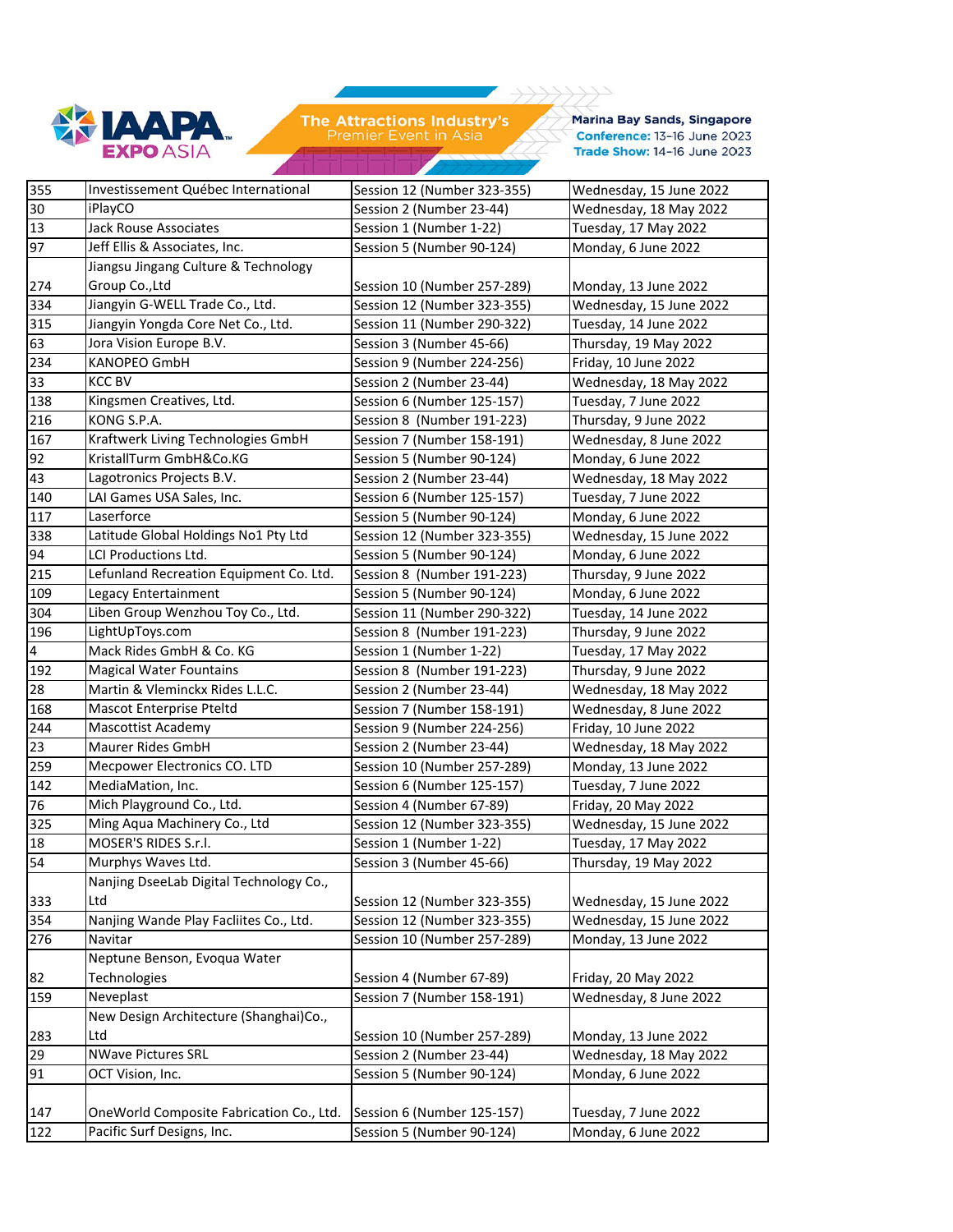

ノノノノ

 $\rightarrow$ 

**Marina Bay Sands, Singapore** Conference: 13-16 June 2023 Trade Show: 14-16 June 2023

| 355 | Investissement Québec International      | Session 12 (Number 323-355) | Wednesday, 15 June 2022 |
|-----|------------------------------------------|-----------------------------|-------------------------|
| 30  | iPlayCO                                  | Session 2 (Number 23-44)    | Wednesday, 18 May 2022  |
| 13  | <b>Jack Rouse Associates</b>             | Session 1 (Number 1-22)     | Tuesday, 17 May 2022    |
| 97  | Jeff Ellis & Associates, Inc.            | Session 5 (Number 90-124)   | Monday, 6 June 2022     |
|     | Jiangsu Jingang Culture & Technology     |                             |                         |
| 274 | Group Co., Ltd                           | Session 10 (Number 257-289) | Monday, 13 June 2022    |
| 334 | Jiangyin G-WELL Trade Co., Ltd.          | Session 12 (Number 323-355) | Wednesday, 15 June 2022 |
| 315 | Jiangyin Yongda Core Net Co., Ltd.       | Session 11 (Number 290-322) | Tuesday, 14 June 2022   |
| 63  | Jora Vision Europe B.V.                  | Session 3 (Number 45-66)    | Thursday, 19 May 2022   |
| 234 | <b>KANOPEO GmbH</b>                      | Session 9 (Number 224-256)  | Friday, 10 June 2022    |
| 33  | <b>KCC BV</b>                            | Session 2 (Number 23-44)    | Wednesday, 18 May 2022  |
| 138 | Kingsmen Creatives, Ltd.                 | Session 6 (Number 125-157)  | Tuesday, 7 June 2022    |
| 216 | KONG S.P.A.                              | Session 8 (Number 191-223)  | Thursday, 9 June 2022   |
| 167 | Kraftwerk Living Technologies GmbH       | Session 7 (Number 158-191)  | Wednesday, 8 June 2022  |
| 92  | KristallTurm GmbH&Co.KG                  | Session 5 (Number 90-124)   | Monday, 6 June 2022     |
| 43  | Lagotronics Projects B.V.                | Session 2 (Number 23-44)    | Wednesday, 18 May 2022  |
| 140 | LAI Games USA Sales, Inc.                | Session 6 (Number 125-157)  | Tuesday, 7 June 2022    |
| 117 | Laserforce                               | Session 5 (Number 90-124)   | Monday, 6 June 2022     |
| 338 | Latitude Global Holdings No1 Pty Ltd     | Session 12 (Number 323-355) | Wednesday, 15 June 2022 |
| 94  | <b>LCI Productions Ltd.</b>              | Session 5 (Number 90-124)   | Monday, 6 June 2022     |
| 215 | Lefunland Recreation Equipment Co. Ltd.  | Session 8 (Number 191-223)  | Thursday, 9 June 2022   |
| 109 | Legacy Entertainment                     | Session 5 (Number 90-124)   | Monday, 6 June 2022     |
| 304 | Liben Group Wenzhou Toy Co., Ltd.        | Session 11 (Number 290-322) | Tuesday, 14 June 2022   |
| 196 | LightUpToys.com                          | Session 8 (Number 191-223)  | Thursday, 9 June 2022   |
| 4   | Mack Rides GmbH & Co. KG                 | Session 1 (Number 1-22)     | Tuesday, 17 May 2022    |
| 192 | <b>Magical Water Fountains</b>           | Session 8 (Number 191-223)  | Thursday, 9 June 2022   |
| 28  | Martin & Vleminckx Rides L.L.C.          | Session 2 (Number 23-44)    | Wednesday, 18 May 2022  |
| 168 | Mascot Enterprise Pteltd                 | Session 7 (Number 158-191)  | Wednesday, 8 June 2022  |
| 244 | <b>Mascottist Academy</b>                | Session 9 (Number 224-256)  | Friday, 10 June 2022    |
| 23  | <b>Maurer Rides GmbH</b>                 | Session 2 (Number 23-44)    | Wednesday, 18 May 2022  |
| 259 | Mecpower Electronics CO. LTD             | Session 10 (Number 257-289) | Monday, 13 June 2022    |
| 142 | MediaMation, Inc.                        | Session 6 (Number 125-157)  | Tuesday, 7 June 2022    |
| 76  | Mich Playground Co., Ltd.                | Session 4 (Number 67-89)    | Friday, 20 May 2022     |
| 325 | Ming Aqua Machinery Co., Ltd             | Session 12 (Number 323-355) | Wednesday, 15 June 2022 |
| 18  | MOSER'S RIDES S.r.l.                     | Session 1 (Number 1-22)     | Tuesday, 17 May 2022    |
| 54  | Murphys Waves Ltd.                       | Session 3 (Number 45-66)    | Thursday, 19 May 2022   |
|     | Nanjing DseeLab Digital Technology Co.,  |                             |                         |
| 333 | Ltd                                      | Session 12 (Number 323-355) | Wednesday, 15 June 2022 |
| 354 | Nanjing Wande Play Facliites Co., Ltd.   | Session 12 (Number 323-355) | Wednesday, 15 June 2022 |
| 276 | Navitar                                  | Session 10 (Number 257-289) | Monday, 13 June 2022    |
|     | Neptune Benson, Evoqua Water             |                             |                         |
| 82  | Technologies                             | Session 4 (Number 67-89)    | Friday, 20 May 2022     |
| 159 | Neveplast                                | Session 7 (Number 158-191)  | Wednesday, 8 June 2022  |
|     | New Design Architecture (Shanghai)Co.,   |                             |                         |
| 283 | Ltd                                      | Session 10 (Number 257-289) | Monday, 13 June 2022    |
| 29  | <b>NWave Pictures SRL</b>                | Session 2 (Number 23-44)    | Wednesday, 18 May 2022  |
| 91  | OCT Vision, Inc.                         | Session 5 (Number 90-124)   | Monday, 6 June 2022     |
|     |                                          |                             |                         |
| 147 | OneWorld Composite Fabrication Co., Ltd. | Session 6 (Number 125-157)  | Tuesday, 7 June 2022    |
| 122 | Pacific Surf Designs, Inc.               | Session 5 (Number 90-124)   | Monday, 6 June 2022     |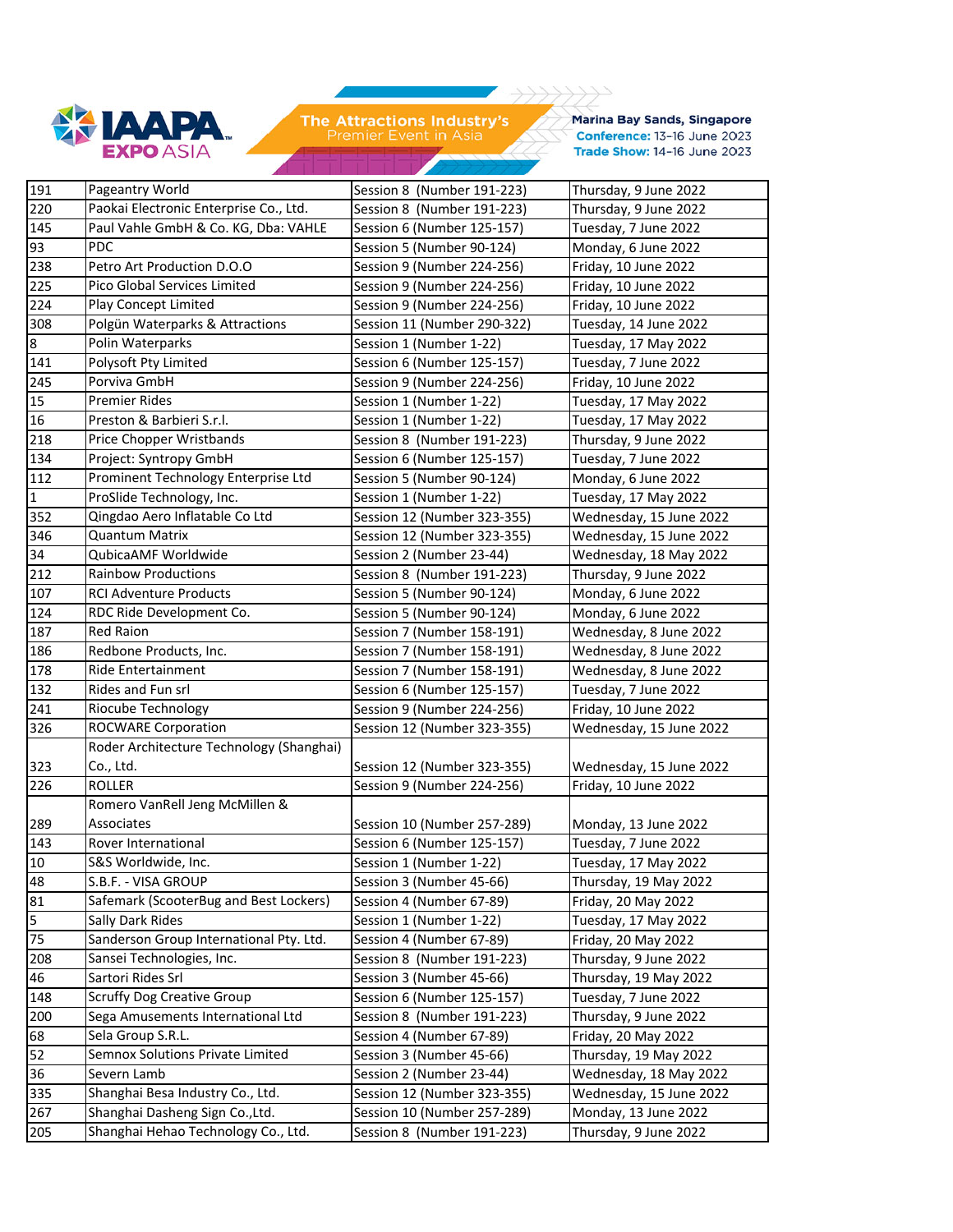

**Marina Bay Sands, Singapore** Conference: 13-16 June 2023 Trade Show: 14-16 June 2023

 $1111$ 

 $\rightarrow$ 

| 191              | Pageantry World                          | Session 8 (Number 191-223)  | Thursday, 9 June 2022   |
|------------------|------------------------------------------|-----------------------------|-------------------------|
| 220              | Paokai Electronic Enterprise Co., Ltd.   | Session 8 (Number 191-223)  | Thursday, 9 June 2022   |
| 145              | Paul Vahle GmbH & Co. KG, Dba: VAHLE     | Session 6 (Number 125-157)  | Tuesday, 7 June 2022    |
| 93               | PDC                                      | Session 5 (Number 90-124)   | Monday, 6 June 2022     |
| 238              | Petro Art Production D.O.O               | Session 9 (Number 224-256)  | Friday, 10 June 2022    |
| 225              | Pico Global Services Limited             | Session 9 (Number 224-256)  | Friday, 10 June 2022    |
| 224              | Play Concept Limited                     | Session 9 (Number 224-256)  | Friday, 10 June 2022    |
| 308              | Polgün Waterparks & Attractions          | Session 11 (Number 290-322) | Tuesday, 14 June 2022   |
| $\boldsymbol{8}$ | Polin Waterparks                         | Session 1 (Number 1-22)     | Tuesday, 17 May 2022    |
| 141              | Polysoft Pty Limited                     | Session 6 (Number 125-157)  | Tuesday, 7 June 2022    |
| 245              | Porviva GmbH                             | Session 9 (Number 224-256)  | Friday, 10 June 2022    |
| 15               | Premier Rides                            | Session 1 (Number 1-22)     | Tuesday, 17 May 2022    |
| 16               | Preston & Barbieri S.r.l.                | Session 1 (Number 1-22)     | Tuesday, 17 May 2022    |
| 218              | Price Chopper Wristbands                 | Session 8 (Number 191-223)  | Thursday, 9 June 2022   |
| 134              | Project: Syntropy GmbH                   | Session 6 (Number 125-157)  | Tuesday, 7 June 2022    |
| 112              | Prominent Technology Enterprise Ltd      | Session 5 (Number 90-124)   | Monday, 6 June 2022     |
| $\mathbf{1}$     | ProSlide Technology, Inc.                | Session 1 (Number 1-22)     | Tuesday, 17 May 2022    |
| 352              | Qingdao Aero Inflatable Co Ltd           | Session 12 (Number 323-355) | Wednesday, 15 June 2022 |
| 346              | Quantum Matrix                           | Session 12 (Number 323-355) | Wednesday, 15 June 2022 |
| 34               | QubicaAMF Worldwide                      | Session 2 (Number 23-44)    | Wednesday, 18 May 2022  |
| 212              | <b>Rainbow Productions</b>               | Session 8 (Number 191-223)  | Thursday, 9 June 2022   |
| 107              | <b>RCI Adventure Products</b>            | Session 5 (Number 90-124)   | Monday, 6 June 2022     |
| 124              | RDC Ride Development Co.                 | Session 5 (Number 90-124)   | Monday, 6 June 2022     |
| 187              | <b>Red Raion</b>                         | Session 7 (Number 158-191)  | Wednesday, 8 June 2022  |
| 186              | Redbone Products, Inc.                   | Session 7 (Number 158-191)  | Wednesday, 8 June 2022  |
| 178              | <b>Ride Entertainment</b>                | Session 7 (Number 158-191)  | Wednesday, 8 June 2022  |
| 132              | Rides and Fun srl                        | Session 6 (Number 125-157)  | Tuesday, 7 June 2022    |
| 241              | Riocube Technology                       | Session 9 (Number 224-256)  | Friday, 10 June 2022    |
| 326              | <b>ROCWARE Corporation</b>               | Session 12 (Number 323-355) | Wednesday, 15 June 2022 |
|                  | Roder Architecture Technology (Shanghai) |                             |                         |
| 323              | Co., Ltd.                                | Session 12 (Number 323-355) | Wednesday, 15 June 2022 |
| 226              | <b>ROLLER</b>                            | Session 9 (Number 224-256)  | Friday, 10 June 2022    |
|                  | Romero VanRell Jeng McMillen &           |                             |                         |
| 289              | Associates                               | Session 10 (Number 257-289) | Monday, 13 June 2022    |
| 143              | Rover International                      | Session 6 (Number 125-157)  | Tuesday, 7 June 2022    |
| 10               | S&S Worldwide, Inc.                      | Session 1 (Number 1-22)     | Tuesday, 17 May 2022    |
| 48               | S.B.F. - VISA GROUP                      | Session 3 (Number 45-66)    | Thursday, 19 May 2022   |
| 81               | Safemark (ScooterBug and Best Lockers)   | Session 4 (Number 67-89)    | Friday, 20 May 2022     |
| $\overline{5}$   | Sally Dark Rides                         | Session 1 (Number 1-22)     | Tuesday, 17 May 2022    |
| 75               | Sanderson Group International Pty. Ltd.  | Session 4 (Number 67-89)    | Friday, 20 May 2022     |
| 208              | Sansei Technologies, Inc.                | Session 8 (Number 191-223)  | Thursday, 9 June 2022   |
| $\overline{46}$  | Sartori Rides Srl                        | Session 3 (Number 45-66)    | Thursday, 19 May 2022   |
| 148              | <b>Scruffy Dog Creative Group</b>        | Session 6 (Number 125-157)  | Tuesday, 7 June 2022    |
| $\overline{200}$ | Sega Amusements International Ltd        | Session 8 (Number 191-223)  | Thursday, 9 June 2022   |
| 68               | Sela Group S.R.L.                        | Session 4 (Number 67-89)    | Friday, 20 May 2022     |
| 52               | Semnox Solutions Private Limited         | Session 3 (Number 45-66)    | Thursday, 19 May 2022   |
| 36               | Severn Lamb                              | Session 2 (Number 23-44)    | Wednesday, 18 May 2022  |
| 335              | Shanghai Besa Industry Co., Ltd.         | Session 12 (Number 323-355) | Wednesday, 15 June 2022 |
| 267              | Shanghai Dasheng Sign Co., Ltd.          | Session 10 (Number 257-289) | Monday, 13 June 2022    |
| 205              | Shanghai Hehao Technology Co., Ltd.      | Session 8 (Number 191-223)  | Thursday, 9 June 2022   |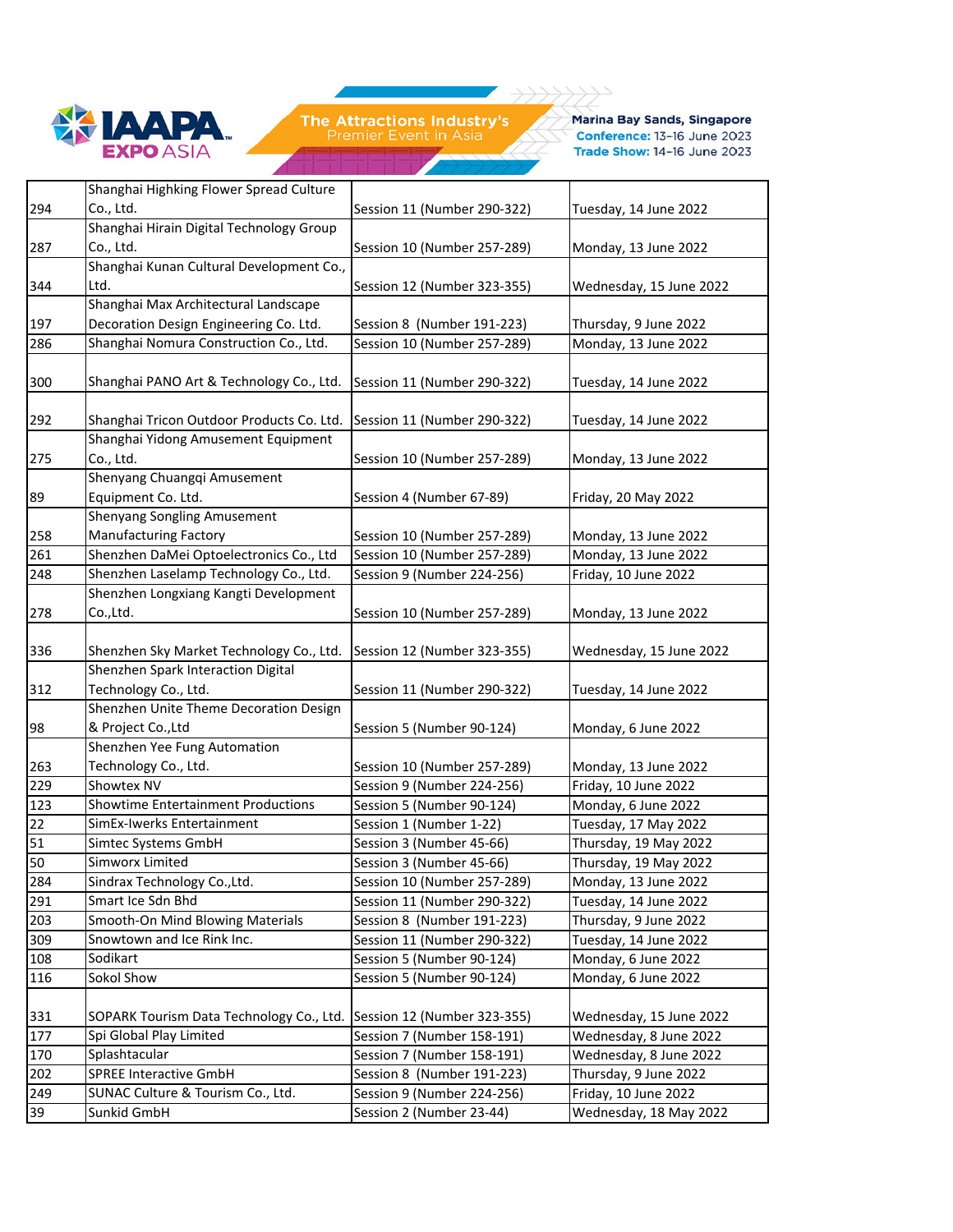

Marina Bay Sands, Singapore Conference: 13-16 June 2023 Trade Show: 14-16 June 2023

|                   | Shanghai Highking Flower Spread Culture   |                             |                         |
|-------------------|-------------------------------------------|-----------------------------|-------------------------|
| 294               | Co., Ltd.                                 | Session 11 (Number 290-322) | Tuesday, 14 June 2022   |
|                   | Shanghai Hirain Digital Technology Group  |                             |                         |
| 287               | Co., Ltd.                                 | Session 10 (Number 257-289) | Monday, 13 June 2022    |
|                   | Shanghai Kunan Cultural Development Co.,  |                             |                         |
| 344               | Ltd.                                      | Session 12 (Number 323-355) | Wednesday, 15 June 2022 |
|                   | Shanghai Max Architectural Landscape      |                             |                         |
| 197               | Decoration Design Engineering Co. Ltd.    | Session 8 (Number 191-223)  | Thursday, 9 June 2022   |
| 286               | Shanghai Nomura Construction Co., Ltd.    | Session 10 (Number 257-289) | Monday, 13 June 2022    |
|                   |                                           |                             |                         |
| 300               | Shanghai PANO Art & Technology Co., Ltd.  | Session 11 (Number 290-322) | Tuesday, 14 June 2022   |
|                   |                                           |                             |                         |
| 292               | Shanghai Tricon Outdoor Products Co. Ltd. | Session 11 (Number 290-322) | Tuesday, 14 June 2022   |
|                   | Shanghai Yidong Amusement Equipment       |                             |                         |
| 275               | Co., Ltd.                                 | Session 10 (Number 257-289) | Monday, 13 June 2022    |
|                   | Shenyang Chuangqi Amusement               |                             |                         |
| 89                | Equipment Co. Ltd.                        | Session 4 (Number 67-89)    | Friday, 20 May 2022     |
|                   | Shenyang Songling Amusement               |                             |                         |
| 258               | <b>Manufacturing Factory</b>              | Session 10 (Number 257-289) | Monday, 13 June 2022    |
| 261               | Shenzhen DaMei Optoelectronics Co., Ltd   | Session 10 (Number 257-289) | Monday, 13 June 2022    |
| 248               | Shenzhen Laselamp Technology Co., Ltd.    | Session 9 (Number 224-256)  | Friday, 10 June 2022    |
|                   | Shenzhen Longxiang Kangti Development     |                             |                         |
| 278               | Co.,Ltd.                                  | Session 10 (Number 257-289) | Monday, 13 June 2022    |
|                   |                                           |                             |                         |
| 336               | Shenzhen Sky Market Technology Co., Ltd.  | Session 12 (Number 323-355) | Wednesday, 15 June 2022 |
|                   | Shenzhen Spark Interaction Digital        |                             |                         |
| 312               | Technology Co., Ltd.                      | Session 11 (Number 290-322) | Tuesday, 14 June 2022   |
|                   | Shenzhen Unite Theme Decoration Design    |                             |                         |
| 98                | & Project Co., Ltd                        | Session 5 (Number 90-124)   | Monday, 6 June 2022     |
|                   | Shenzhen Yee Fung Automation              |                             |                         |
| 263               | Technology Co., Ltd.                      | Session 10 (Number 257-289) | Monday, 13 June 2022    |
| 229               | Showtex NV                                | Session 9 (Number 224-256)  | Friday, 10 June 2022    |
| $\overline{1}$ 23 | <b>Showtime Entertainment Productions</b> | Session 5 (Number 90-124)   | Monday, 6 June 2022     |
| 22                | SimEx-Iwerks Entertainment                | Session 1 (Number 1-22)     | Tuesday, 17 May 2022    |
| 51                | Simtec Systems GmbH                       | Session 3 (Number 45-66)    | Thursday, 19 May 2022   |
| 50                | Simworx Limited                           | Session 3 (Number 45-66)    | Thursday, 19 May 2022   |
| 284               | Sindrax Technology Co., Ltd.              | Session 10 (Number 257-289) | Monday, 13 June 2022    |
| 291               | Smart Ice Sdn Bhd                         | Session 11 (Number 290-322) | Tuesday, 14 June 2022   |
| 203               | Smooth-On Mind Blowing Materials          | Session 8 (Number 191-223)  | Thursday, 9 June 2022   |
| 309               | Snowtown and Ice Rink Inc.                | Session 11 (Number 290-322) | Tuesday, 14 June 2022   |
| 108               | Sodikart                                  | Session 5 (Number 90-124)   | Monday, 6 June 2022     |
| 116               | Sokol Show                                | Session 5 (Number 90-124)   | Monday, 6 June 2022     |
|                   |                                           |                             |                         |
| 331               | SOPARK Tourism Data Technology Co., Ltd.  | Session 12 (Number 323-355) | Wednesday, 15 June 2022 |
| 177               | Spi Global Play Limited                   | Session 7 (Number 158-191)  | Wednesday, 8 June 2022  |
| 170               | Splashtacular                             | Session 7 (Number 158-191)  | Wednesday, 8 June 2022  |
| 202               | <b>SPREE Interactive GmbH</b>             | Session 8 (Number 191-223)  | Thursday, 9 June 2022   |
| 249               | SUNAC Culture & Tourism Co., Ltd.         | Session 9 (Number 224-256)  | Friday, 10 June 2022    |
| 39                | Sunkid GmbH                               | Session 2 (Number 23-44)    | Wednesday, 18 May 2022  |
|                   |                                           |                             |                         |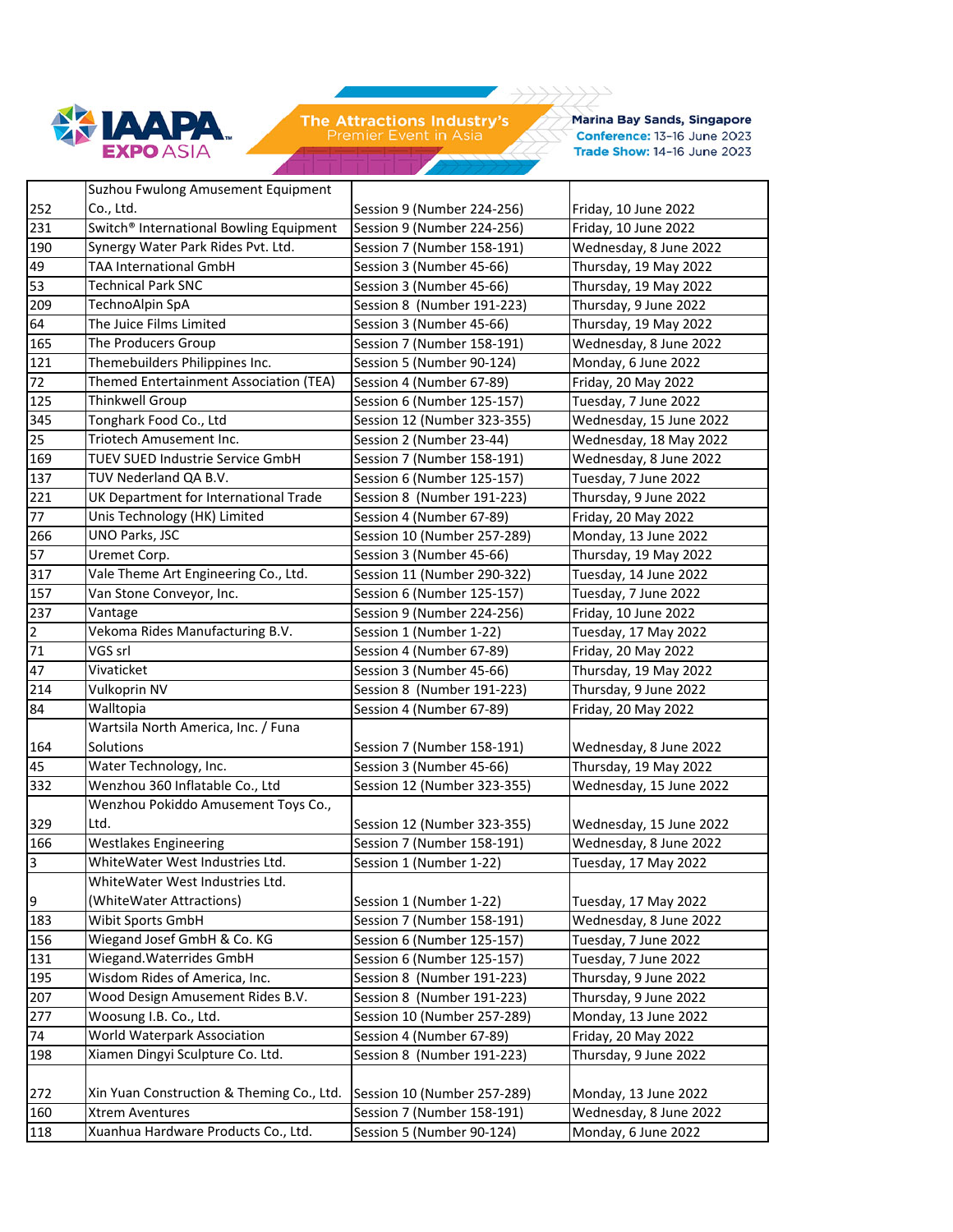

**Marina Bay Sands, Singapore** Conference: 13-16 June 2023 Trade Show: 14-16 June 2023

|                | Suzhou Fwulong Amusement Equipment                  |                             |                         |
|----------------|-----------------------------------------------------|-----------------------------|-------------------------|
| 252            | Co., Ltd.                                           | Session 9 (Number 224-256)  | Friday, 10 June 2022    |
| 231            | Switch <sup>®</sup> International Bowling Equipment | Session 9 (Number 224-256)  | Friday, 10 June 2022    |
| 190            | Synergy Water Park Rides Pvt. Ltd.                  | Session 7 (Number 158-191)  | Wednesday, 8 June 2022  |
| 49             | <b>TAA International GmbH</b>                       | Session 3 (Number 45-66)    | Thursday, 19 May 2022   |
| 53             | <b>Technical Park SNC</b>                           | Session 3 (Number 45-66)    | Thursday, 19 May 2022   |
| 209            | TechnoAlpin SpA                                     | Session 8 (Number 191-223)  | Thursday, 9 June 2022   |
| 64             | The Juice Films Limited                             | Session 3 (Number 45-66)    | Thursday, 19 May 2022   |
| 165            | The Producers Group                                 | Session 7 (Number 158-191)  | Wednesday, 8 June 2022  |
| 121            | Themebuilders Philippines Inc.                      | Session 5 (Number 90-124)   | Monday, 6 June 2022     |
| 72             | Themed Entertainment Association (TEA)              | Session 4 (Number 67-89)    | Friday, 20 May 2022     |
| 125            | Thinkwell Group                                     | Session 6 (Number 125-157)  | Tuesday, 7 June 2022    |
| 345            | Tonghark Food Co., Ltd                              | Session 12 (Number 323-355) | Wednesday, 15 June 2022 |
| 25             | Triotech Amusement Inc.                             | Session 2 (Number 23-44)    | Wednesday, 18 May 2022  |
| 169            | TUEV SUED Industrie Service GmbH                    | Session 7 (Number 158-191)  | Wednesday, 8 June 2022  |
| 137            | TUV Nederland QA B.V.                               | Session 6 (Number 125-157)  | Tuesday, 7 June 2022    |
| 221            | UK Department for International Trade               | Session 8 (Number 191-223)  | Thursday, 9 June 2022   |
| 77             | Unis Technology (HK) Limited                        | Session 4 (Number 67-89)    | Friday, 20 May 2022     |
| 266            | UNO Parks, JSC                                      | Session 10 (Number 257-289) | Monday, 13 June 2022    |
| 57             | Uremet Corp.                                        | Session 3 (Number 45-66)    | Thursday, 19 May 2022   |
| 317            | Vale Theme Art Engineering Co., Ltd.                | Session 11 (Number 290-322) | Tuesday, 14 June 2022   |
| 157            | Van Stone Conveyor, Inc.                            | Session 6 (Number 125-157)  | Tuesday, 7 June 2022    |
| 237            | Vantage                                             | Session 9 (Number 224-256)  | Friday, 10 June 2022    |
| $\overline{2}$ | Vekoma Rides Manufacturing B.V.                     | Session 1 (Number 1-22)     | Tuesday, 17 May 2022    |
| 71             | VGS srl                                             | Session 4 (Number 67-89)    | Friday, 20 May 2022     |
| 47             | Vivaticket                                          | Session 3 (Number 45-66)    | Thursday, 19 May 2022   |
| 214            | Vulkoprin NV                                        | Session 8 (Number 191-223)  | Thursday, 9 June 2022   |
| 84             | Walltopia                                           | Session 4 (Number 67-89)    | Friday, 20 May 2022     |
|                | Wartsila North America, Inc. / Funa                 |                             |                         |
| 164            | Solutions                                           | Session 7 (Number 158-191)  | Wednesday, 8 June 2022  |
| 45             | Water Technology, Inc.                              | Session 3 (Number 45-66)    | Thursday, 19 May 2022   |
| 332            | Wenzhou 360 Inflatable Co., Ltd                     | Session 12 (Number 323-355) | Wednesday, 15 June 2022 |
|                | Wenzhou Pokiddo Amusement Toys Co.,                 |                             |                         |
| 329            | Ltd.                                                | Session 12 (Number 323-355) | Wednesday, 15 June 2022 |
| 166            | Westlakes Engineering                               | Session 7 (Number 158-191)  | Wednesday, 8 June 2022  |
| 3              | WhiteWater West Industries Ltd.                     | Session 1 (Number 1-22)     | Tuesday, 17 May 2022    |
|                | WhiteWater West Industries Ltd.                     |                             |                         |
| 9              | (WhiteWater Attractions)                            | Session 1 (Number 1-22)     | Tuesday, 17 May 2022    |
| 183            | Wibit Sports GmbH                                   | Session 7 (Number 158-191)  | Wednesday, 8 June 2022  |
| 156            | Wiegand Josef GmbH & Co. KG                         | Session 6 (Number 125-157)  | Tuesday, 7 June 2022    |
| 131            | Wiegand. Waterrides GmbH                            | Session 6 (Number 125-157)  | Tuesday, 7 June 2022    |
| 195            | Wisdom Rides of America, Inc.                       | Session 8 (Number 191-223)  | Thursday, 9 June 2022   |
| 207            | Wood Design Amusement Rides B.V.                    | Session 8 (Number 191-223)  | Thursday, 9 June 2022   |
| 277            | Woosung I.B. Co., Ltd.                              | Session 10 (Number 257-289) | Monday, 13 June 2022    |
| 74             | World Waterpark Association                         | Session 4 (Number 67-89)    | Friday, 20 May 2022     |
| 198            | Xiamen Dingyi Sculpture Co. Ltd.                    | Session 8 (Number 191-223)  | Thursday, 9 June 2022   |
|                |                                                     |                             |                         |
| 272            | Xin Yuan Construction & Theming Co., Ltd.           | Session 10 (Number 257-289) | Monday, 13 June 2022    |
| 160            | <b>Xtrem Aventures</b>                              | Session 7 (Number 158-191)  | Wednesday, 8 June 2022  |
| 118            | Xuanhua Hardware Products Co., Ltd.                 | Session 5 (Number 90-124)   | Monday, 6 June 2022     |